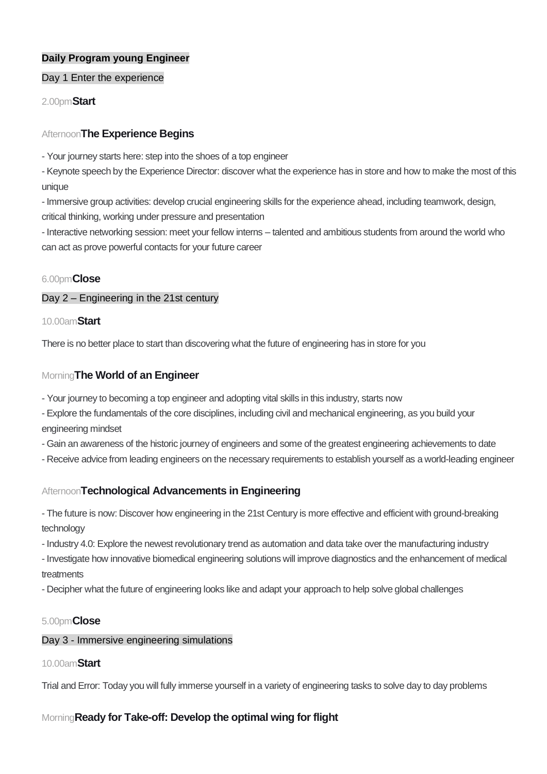# **Daily Program young Engineer**

### Day 1 Enter the experience

2.00pm**Start**

# Afternoon**The Experience Begins**

- Your journey starts here: step into the shoes of a top engineer

- Keynote speech by the Experience Director: discover what the experience has in store and how to make the most of this unique

- Immersive group activities: develop crucial engineering skills for the experience ahead, including teamwork, design, critical thinking, working under pressure and presentation

- Interactive networking session: meet your fellow interns – talented and ambitious students from around the world who can act as prove powerful contacts for your future career

# 6.00pm**Close**

# Day 2 – Engineering in the 21st century

### 10.00am**Start**

There is no better place to start than discovering what the future of engineering has in store for you

# Morning**The World of an Engineer**

- Your journey to becoming a top engineer and adopting vital skills in this industry, starts now
- Explore the fundamentals of the core disciplines, including civil and mechanical engineering, as you build your engineering mindset
- Gain an awareness of the historic journey of engineers and some of the greatest engineering achievements to date
- Receive advice from leading engineers on the necessary requirements to establish yourself as a world-leading engineer

# Afternoon**Technological Advancements in Engineering**

- The future is now: Discover how engineering in the 21st Century is more effective and efficient with ground-breaking technology

- Industry 4.0: Explore the newest revolutionary trend as automation and data take over the manufacturing industry

- Investigate how innovative biomedical engineering solutions will improve diagnostics and the enhancement of medical treatments

- Decipher what the future of engineering looks like and adapt your approach to help solve global challenges

# 5.00pm**Close**

# Day 3 - Immersive engineering simulations

# 10.00am**Start**

Trial and Error: Today you will fully immerse yourself in a variety of engineering tasks to solve day to day problems

# Morning**Ready for Take-off: Develop the optimal wing for flight**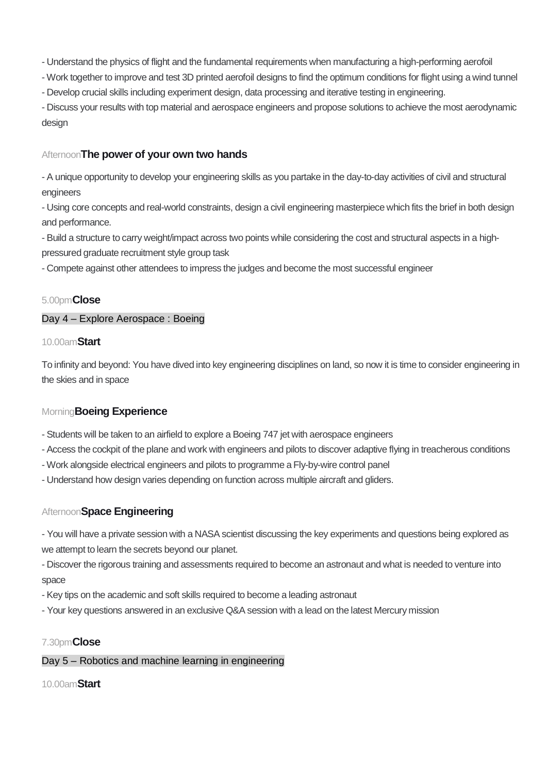- Understand the physics of flight and the fundamental requirements when manufacturing a high-performing aerofoil

- Work together to improve and test 3D printed aerofoil designs to find the optimum conditions for flight using a wind tunnel - Develop crucial skills including experiment design, data processing and iterative testing in engineering.

- Discuss your results with top material and aerospace engineers and propose solutions to achieve the most aerodynamic design

# Afternoon**The power of your own two hands**

- A unique opportunity to develop your engineering skills as you partake in the day-to-day activities of civil and structural engineers

- Using core concepts and real-world constraints, design a civil engineering masterpiece which fits the brief in both design and performance.

- Build a structure to carry weight/impact across two points while considering the cost and structural aspects in a highpressured graduate recruitment style group task

- Compete against other attendees to impress the judges and become the most successful engineer

# 5.00pm**Close**

# Day 4 – Explore Aerospace : Boeing

### 10.00am**Start**

To infinity and beyond: You have dived into key engineering disciplines on land, so now it is time to consider engineering in the skies and in space

# Morning**Boeing Experience**

- Students will be taken to an airfield to explore a Boeing 747 jet with aerospace engineers

- Access the cockpit of the plane and work with engineers and pilots to discover adaptive flying in treacherous conditions

- Work alongside electrical engineers and pilots to programme a Fly-by-wire control panel

- Understand how design varies depending on function across multiple aircraft and gliders.

# Afternoon**Space Engineering**

- You will have a private session with a NASA scientist discussing the key experiments and questions being explored as we attempt to learn the secrets beyond our planet.

- Discover the rigorous training and assessments required to become an astronaut and what is needed to venture into space

- Key tips on the academic and soft skills required to become a leading astronaut

- Your key questions answered in an exclusive Q&A session with a lead on the latest Mercury mission

# 7.30pm**Close**

# Day 5 – Robotics and machine learning in engineering

# 10.00am**Start**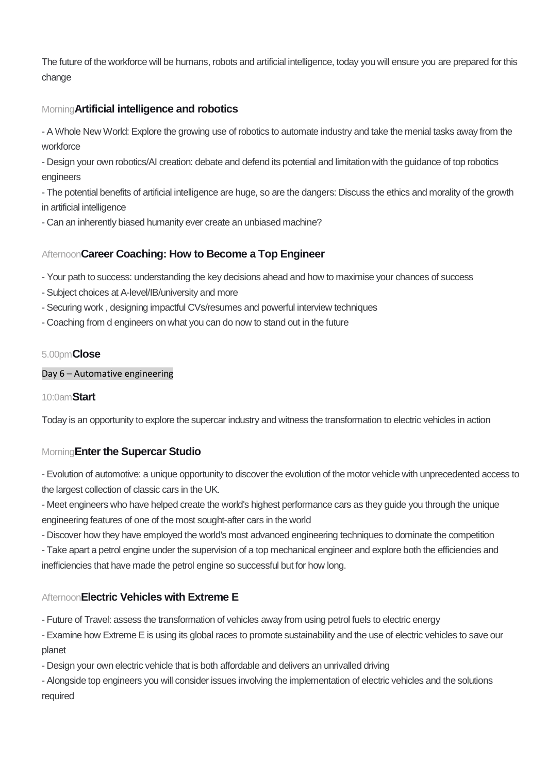The future of the workforce will be humans, robots and artificial intelligence, today you will ensure you are prepared for this change

# Morning**Artificial intelligence and robotics**

- A Whole New World: Explore the growing use of robotics to automate industry and take the menial tasks away from the workforce

- Design your own robotics/AI creation: debate and defend its potential and limitation with the guidance of top robotics engineers

- The potential benefits of artificial intelligence are huge, so are the dangers: Discuss the ethics and morality of the growth in artificial intelligence

- Can an inherently biased humanity ever create an unbiased machine?

# Afternoon**Career Coaching: How to Become a Top Engineer**

- Your path to success: understanding the key decisions ahead and how to maximise your chances of success

- Subject choices at A-level/IB/university and more
- Securing work , designing impactful CVs/resumes and powerful interview techniques
- Coaching from d engineers on what you can do now to stand out in the future

# 5.00pm**Close**

### Day 6 – Automative engineering

# 10:0am**Start**

Today is an opportunity to explore the supercar industry and witness the transformation to electric vehicles in action

# Morning**Enter the Supercar Studio**

- Evolution of automotive: a unique opportunity to discover the evolution of the motor vehicle with unprecedented access to the largest collection of classic cars in the UK.

- Meet engineers who have helped create the world's highest performance cars as they guide you through the unique engineering features of one of the most sought-after cars in the world

- Discover how they have employed the world's most advanced engineering techniques to dominate the competition

- Take apart a petrol engine under the supervision of a top mechanical engineer and explore both the efficiencies and inefficiencies that have made the petrol engine so successful but for how long.

# Afternoon**Electric Vehicles with Extreme E**

- Future of Travel: assess the transformation of vehicles away from using petrol fuels to electric energy

- Examine how Extreme E is using its global races to promote sustainability and the use of electric vehicles to save our planet

- Design your own electric vehicle that is both affordable and delivers an unrivalled driving

- Alongside top engineers you will consider issues involving the implementation of electric vehicles and the solutions required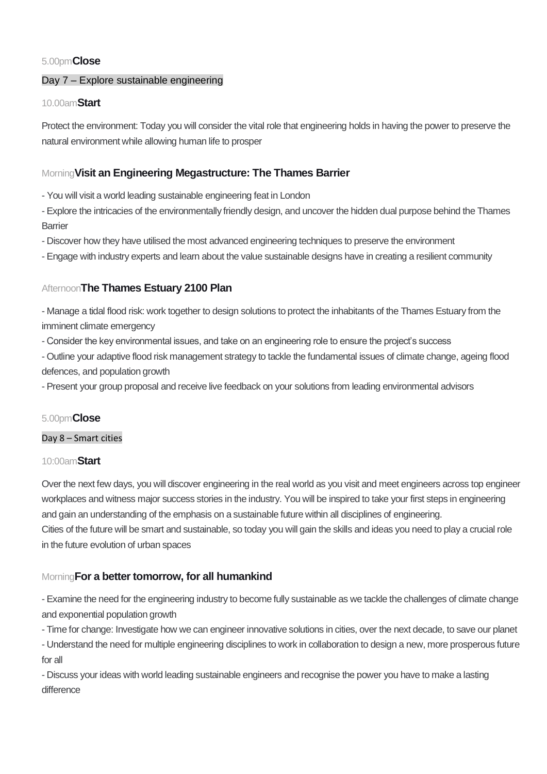# 5.00pm**Close**

# Day 7 – Explore sustainable engineering

# 10.00am**Start**

Protect the environment: Today you will consider the vital role that engineering holds in having the power to preserve the natural environment while allowing human life to prosper

# Morning**Visit an Engineering Megastructure: The Thames Barrier**

- You will visit a world leading sustainable engineering feat in London
- Explore the intricacies of the environmentally friendly design, and uncover the hidden dual purpose behind the Thames **Barrier**
- Discover how they have utilised the most advanced engineering techniques to preserve the environment
- Engage with industry experts and learn about the value sustainable designs have in creating a resilient community

# Afternoon**The Thames Estuary 2100 Plan**

- Manage a tidal flood risk: work together to design solutions to protect the inhabitants of the Thames Estuary from the imminent climate emergency

- Consider the key environmental issues, and take on an engineering role to ensure the project's success

- Outline your adaptive flood risk management strategy to tackle the fundamental issues of climate change, ageing flood defences, and population growth

- Present your group proposal and receive live feedback on your solutions from leading environmental advisors

# 5.00pm**Close**

# Day 8 – Smart cities

# 10:00am**Start**

Over the next few days, you will discover engineering in the real world as you visit and meet engineers across top engineer workplaces and witness major success stories in the industry. You will be inspired to take your first steps in engineering and gain an understanding of the emphasis on a sustainable future within all disciplines of engineering. Cities of the future will be smart and sustainable, so today you will gain the skills and ideas you need to play a crucial role in the future evolution of urban spaces

# Morning**For a better tomorrow, for all humankind**

- Examine the need for the engineering industry to become fully sustainable as we tackle the challenges of climate change and exponential population growth

- Time for change: Investigate how we can engineer innovative solutions in cities, over the next decade, to save our planet - Understand the need for multiple engineering disciplines to work in collaboration to design a new, more prosperous future for all

- Discuss your ideas with world leading sustainable engineers and recognise the power you have to make a lasting difference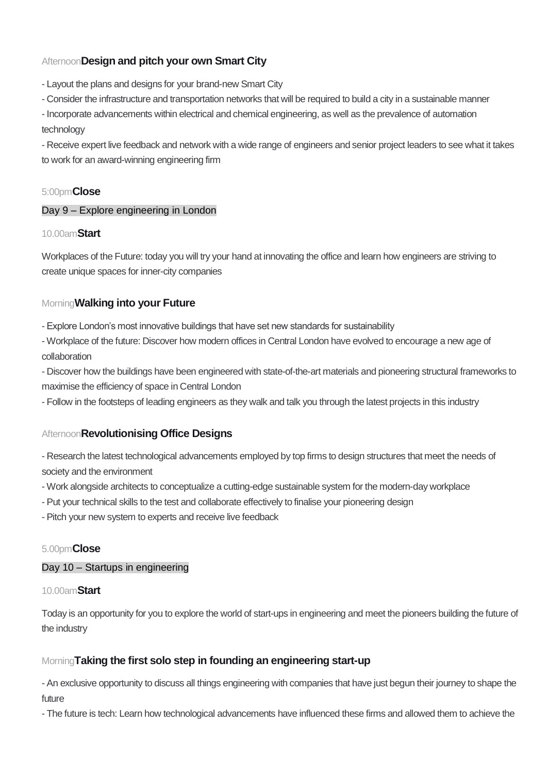# Afternoon**Design and pitch your own Smart City**

- Layout the plans and designs for your brand-new Smart City
- Consider the infrastructure and transportation networks that will be required to build a city in a sustainable manner
- Incorporate advancements within electrical and chemical engineering, as well as the prevalence of automation technology

- Receive expert live feedback and network with a wide range of engineers and senior project leaders to see what it takes to work for an award-winning engineering firm

# 5:00pm**Close**

### Day 9 – Explore engineering in London

# 10.00am**Start**

Workplaces of the Future: today you will try your hand at innovating the office and learn how engineers are striving to create unique spaces for inner-city companies

# Morning**Walking into your Future**

- Explore London's most innovative buildings that have set new standards for sustainability

- Workplace of the future: Discover how modern offices in Central London have evolved to encourage a new age of collaboration

- Discover how the buildings have been engineered with state-of-the-art materials and pioneering structural frameworks to maximise the efficiency of space in Central London

- Follow in the footsteps of leading engineers as they walk and talk you through the latest projects in this industry

# Afternoon**Revolutionising Office Designs**

- Research the latest technological advancements employed by top firms to design structures that meet the needs of society and the environment

- Work alongside architects to conceptualize a cutting-edge sustainable system for the modern-day workplace
- Put your technical skills to the test and collaborate effectively to finalise your pioneering design
- Pitch your new system to experts and receive live feedback

# 5.00pm**Close**

#### Day 10 – Startups in engineering

#### 10.00am**Start**

Today is an opportunity for you to explore the world of start-ups in engineering and meet the pioneers building the future of the industry

# Morning**Taking the first solo step in founding an engineering start-up**

- An exclusive opportunity to discuss all things engineering with companies that have just begun their journey to shape the future

- The future is tech: Learn how technological advancements have influenced these firms and allowed them to achieve the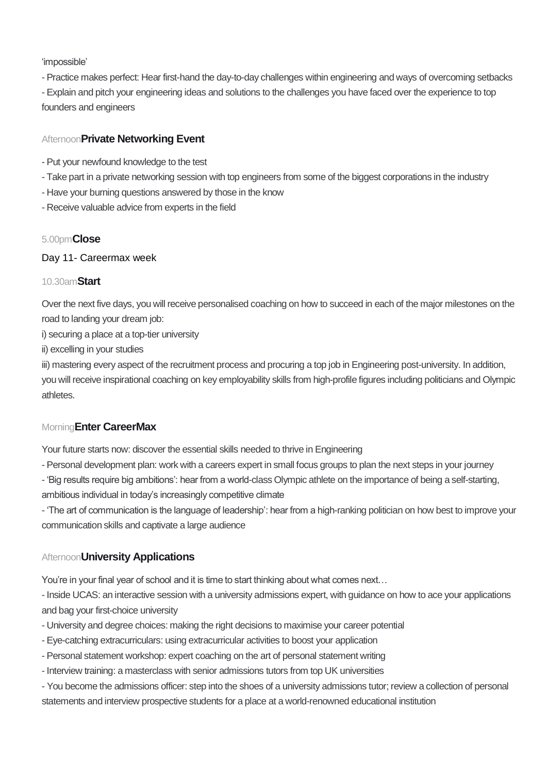'impossible'

- Practice makes perfect: Hear first-hand the day-to-day challenges within engineering and ways of overcoming setbacks

- Explain and pitch your engineering ideas and solutions to the challenges you have faced over the experience to top founders and engineers

# Afternoon**Private Networking Event**

- Put your newfound knowledge to the test
- Take part in a private networking session with top engineers from some of the biggest corporations in the industry
- Have your burning questions answered by those in the know
- Receive valuable advice from experts in the field

# 5.00pm**Close**

### Day 11- Careermax week

# 10.30am**Start**

Over the next five days, you will receive personalised coaching on how to succeed in each of the major milestones on the road to landing your dream job:

i) securing a place at a top-tier university

ii) excelling in your studies

iii) mastering every aspect of the recruitment process and procuring a top job in Engineering post-university. In addition, you will receive inspirational coaching on key employability skills from high-profile figures including politicians and Olympic athletes.

# Morning**Enter CareerMax**

Your future starts now: discover the essential skills needed to thrive in Engineering

- Personal development plan: work with a careers expert in small focus groups to plan the next steps in your journey

- 'Big results require big ambitions': hear from a world-class Olympic athlete on the importance of being a self-starting, ambitious individual in today's increasingly competitive climate

- 'The art of communication is the language of leadership': hear from a high-ranking politician on how best to improve your communication skills and captivate a large audience

# Afternoon**University Applications**

You're in your final year of school and it is time to start thinking about what comes next…

- Inside UCAS: an interactive session with a university admissions expert, with guidance on how to ace your applications and bag your first-choice university

- University and degree choices: making the right decisions to maximise your career potential
- Eye-catching extracurriculars: using extracurricular activities to boost your application
- Personal statement workshop: expert coaching on the art of personal statement writing
- Interview training: a masterclass with senior admissions tutors from top UK universities

- You become the admissions officer: step into the shoes of a university admissions tutor; review a collection of personal statements and interview prospective students for a place at a world-renowned educational institution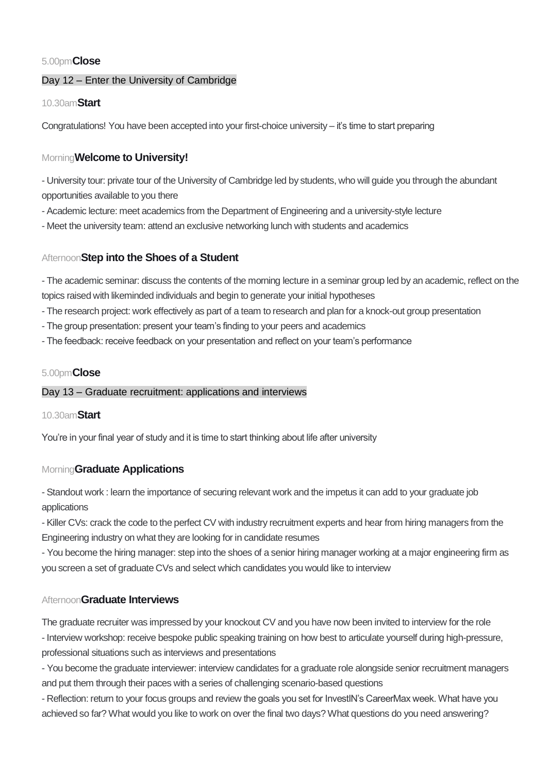# 5.00pm**Close**

# Day 12 – Enter the University of Cambridge

# 10.30am**Start**

Congratulations! You have been accepted into your first-choice university – it's time to start preparing

# Morning**Welcome to University!**

- University tour: private tour of the University of Cambridge led by students, who will guide you through the abundant opportunities available to you there

- Academic lecture: meet academics from the Department of Engineering and a university-style lecture
- Meet the university team: attend an exclusive networking lunch with students and academics

# Afternoon**Step into the Shoes of a Student**

- The academic seminar: discuss the contents of the morning lecture in a seminar group led by an academic, reflect on the topics raised with likeminded individuals and begin to generate your initial hypotheses

- The research project: work effectively as part of a team to research and plan for a knock-out group presentation
- The group presentation: present your team's finding to your peers and academics
- The feedback: receive feedback on your presentation and reflect on your team's performance

# 5.00pm**Close**

# Day 13 – Graduate recruitment: applications and interviews

# 10.30am**Start**

You're in your final year of study and it is time to start thinking about life after university

# Morning**Graduate Applications**

- Standout work : learn the importance of securing relevant work and the impetus it can add to your graduate job applications

- Killer CVs: crack the code to the perfect CV with industry recruitment experts and hear from hiring managers from the Engineering industry on what they are looking for in candidate resumes

- You become the hiring manager: step into the shoes of a senior hiring manager working at a major engineering firm as you screen a set of graduate CVs and select which candidates you would like to interview

# Afternoon**Graduate Interviews**

The graduate recruiter was impressed by your knockout CV and you have now been invited to interview for the role - Interview workshop: receive bespoke public speaking training on how best to articulate yourself during high-pressure, professional situations such as interviews and presentations

- You become the graduate interviewer: interview candidates for a graduate role alongside senior recruitment managers and put them through their paces with a series of challenging scenario-based questions

- Reflection: return to your focus groups and review the goals you set for InvestIN's CareerMax week. What have you achieved so far? What would you like to work on over the final two days? What questions do you need answering?